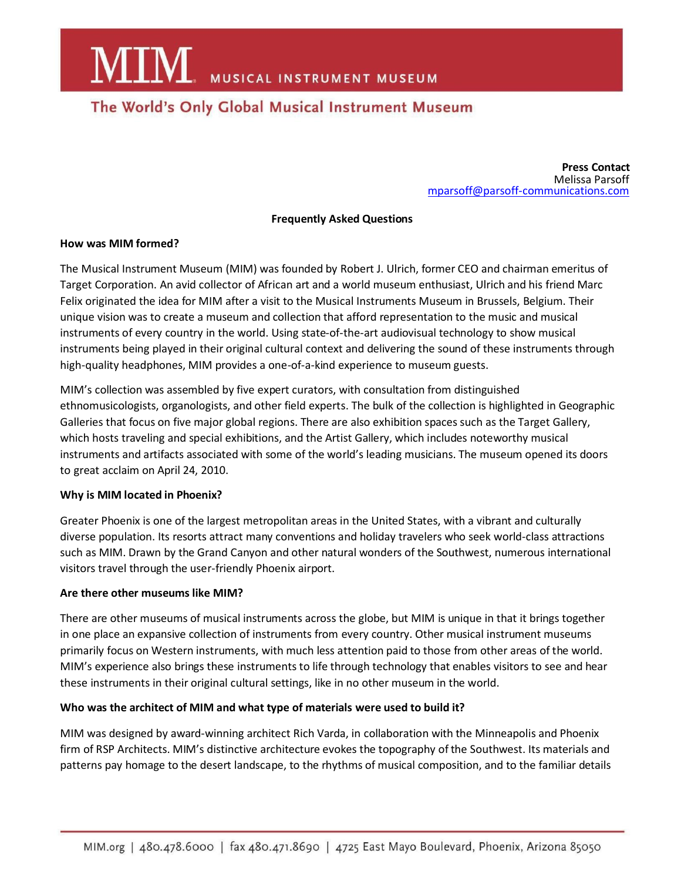**MIM** MUSICAL INSTRUMENT MUSEUM

## The World's Only Global Musical Instrument Museum

**Press Contact** Melissa Parsoff [mparsoff@parsoff-communications.com](mailto:mparsoff@parsoff-communications.com)

#### **Frequently Asked Questions**

#### **How was MIM formed?**

The Musical Instrument Museum (MIM) was founded by Robert J. Ulrich, former CEO and chairman emeritus of Target Corporation. An avid collector of African art and a world museum enthusiast, Ulrich and his friend Marc Felix originated the idea for MIM after a visit to the Musical Instruments Museum in Brussels, Belgium. Their unique vision was to create a museum and collection that afford representation to the music and musical instruments of every country in the world. Using state‐of-the‐art audiovisual technology to show musical instruments being played in their original cultural context and delivering the sound of these instruments through high-quality headphones, MIM provides a one-of-a-kind experience to museum guests.

MIM's collection was assembled by five expert curators, with consultation from distinguished ethnomusicologists, organologists, and other field experts. The bulk of the collection is highlighted in Geographic Galleries that focus on five major global regions. There are also exhibition spaces such as the Target Gallery, which hosts traveling and special exhibitions, and the Artist Gallery, which includes noteworthy musical instruments and artifacts associated with some of the world's leading musicians. The museum opened its doors to great acclaim on April 24, 2010.

#### **Why is MIM located in Phoenix?**

Greater Phoenix is one of the largest metropolitan areas in the United States, with a vibrant and culturally diverse population. Its resorts attract many conventions and holiday travelers who seek world‐class attractions such as MIM. Drawn by the Grand Canyon and other natural wonders of the Southwest, numerous international visitors travel through the user-friendly Phoenix airport.

#### **Are there other museums like MIM?**

There are other museums of musical instruments across the globe, but MIM is unique in that it brings together in one place an expansive collection of instruments from every country. Other musical instrument museums primarily focus on Western instruments, with much less attention paid to those from other areas of the world. MIM's experience also brings these instruments to life through technology that enables visitors to see and hear these instruments in their original cultural settings, like in no other museum in the world.

#### **Who was the architect of MIM and what type of materials were used to build it?**

MIM was designed by award‐winning architect Rich Varda, in collaboration with the Minneapolis and Phoenix firm of RSP Architects. MIM's distinctive architecture evokes the topography of the Southwest. Its materials and patterns pay homage to the desert landscape, to the rhythms of musical composition, and to the familiar details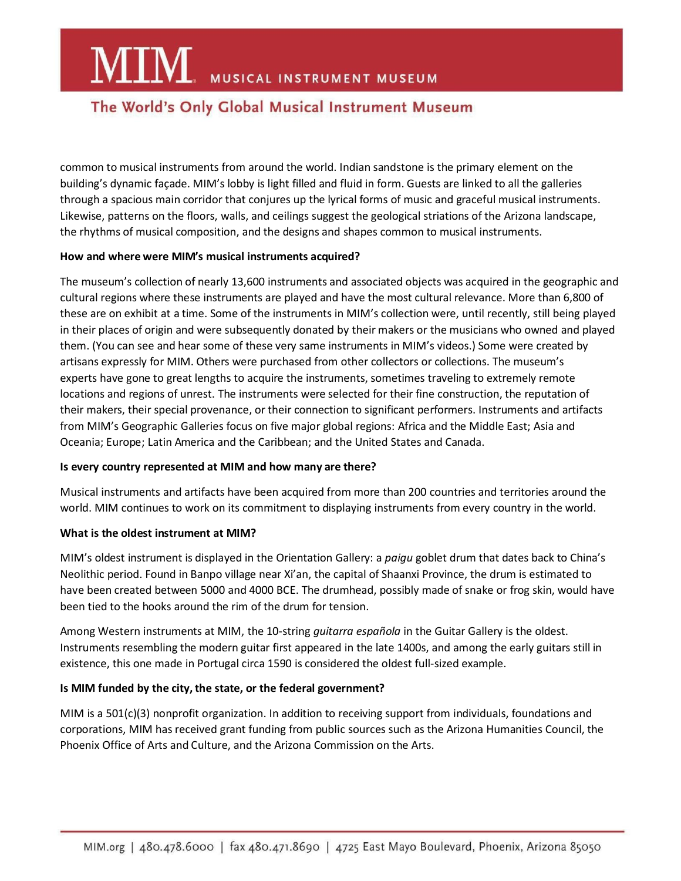## **MIM** MUSICAL INSTRUMENT MUSEUM

## The World's Only Global Musical Instrument Museum

common to musical instruments from around the world. Indian sandstone is the primary element on the building's dynamic façade. MIM's lobby is light filled and fluid in form. Guests are linked to all the galleries through a spacious main corridor that conjures up the lyrical forms of music and graceful musical instruments. Likewise, patterns on the floors, walls, and ceilings suggest the geological striations of the Arizona landscape, the rhythms of musical composition, and the designs and shapes common to musical instruments.

#### **How and where were MIM's musical instruments acquired?**

The museum's collection of nearly 13,600 instruments and associated objects was acquired in the geographic and cultural regions where these instruments are played and have the most cultural relevance. More than 6,800 of these are on exhibit at a time. Some of the instruments in MIM's collection were, until recently, still being played in their places of origin and were subsequently donated by their makers or the musicians who owned and played them. (You can see and hear some of these very same instruments in MIM's videos.) Some were created by artisans expressly for MIM. Others were purchased from other collectors or collections. The museum's experts have gone to great lengths to acquire the instruments, sometimes traveling to extremely remote locations and regions of unrest. The instruments were selected for their fine construction, the reputation of their makers, their special provenance, or their connection to significant performers. Instruments and artifacts from MIM's Geographic Galleries focus on five major global regions: Africa and the Middle East; Asia and Oceania; Europe; Latin America and the Caribbean; and the United States and Canada.

#### **Is every country represented at MIM and how many are there?**

Musical instruments and artifacts have been acquired from more than 200 countries and territories around the world. MIM continues to work on its commitment to displaying instruments from every country in the world.

#### **What is the oldest instrument at MIM?**

MIM's oldest instrument is displayed in the Orientation Gallery: a *paigu* goblet drum that dates back to China's Neolithic period. Found in Banpo village near Xi'an, the capital of Shaanxi Province, the drum is estimated to have been created between 5000 and 4000 BCE. The drumhead, possibly made of snake or frog skin, would have been tied to the hooks around the rim of the drum for tension.

Among Western instruments at MIM, the 10-string *guitarra española* in the Guitar Gallery is the oldest. Instruments resembling the modern guitar first appeared in the late 1400s, and among the early guitars still in existence, this one made in Portugal circa 1590 is considered the oldest full-sized example.

#### **Is MIM funded by the city, the state, or the federal government?**

MIM is a 501(c)(3) nonprofit organization. In addition to receiving support from individuals, foundations and corporations, MIM has received grant funding from public sources such as the Arizona Humanities Council, the Phoenix Office of Arts and Culture, and the Arizona Commission on the Arts.